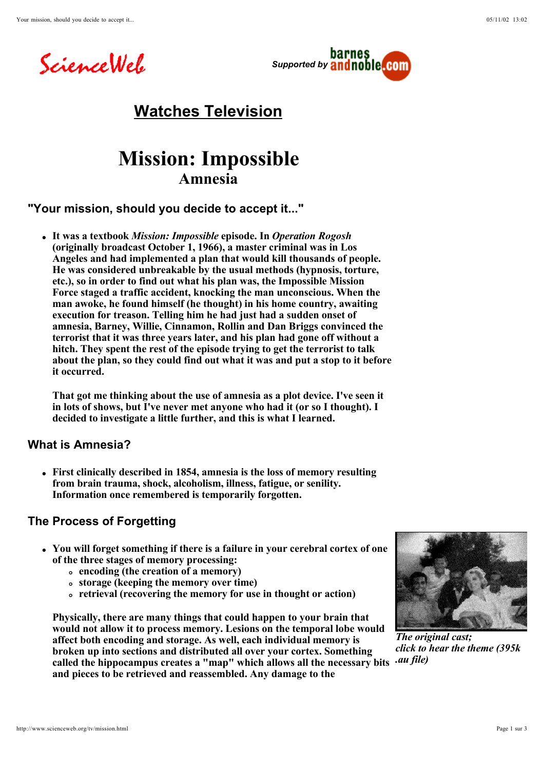



# **Watches Television**

# **Mission: Impossible Amnesia**

### **"Your mission, should you decide to accept it..."**

**It was a textbook** *Mission: Impossible* **episode. In** *Operation Rogosh* **(originally broadcast October 1, 1966), a master criminal was in Los Angeles and had implemented a plan that would kill thousands of people. He was considered unbreakable by the usual methods (hypnosis, torture, etc.), so in order to find out what his plan was, the Impossible Mission Force staged a traffic accident, knocking the man unconscious. When the man awoke, he found himself (he thought) in his home country, awaiting execution for treason. Telling him he had just had a sudden onset of amnesia, Barney, Willie, Cinnamon, Rollin and Dan Briggs convinced the terrorist that it was three years later, and his plan had gone off without a hitch. They spent the rest of the episode trying to get the terrorist to talk about the plan, so they could find out what it was and put a stop to it before it occurred.** 

**That got me thinking about the use of amnesia as a plot device. I've seen it in lots of shows, but I've never met anyone who had it (or so I thought). I decided to investigate a little further, and this is what I learned.**

### **What is Amnesia?**

**First clinically described in 1854, amnesia is the loss of memory resulting from brain trauma, shock, alcoholism, illness, fatigue, or senility. Information once remembered is temporarily forgotten.**

## **The Process of Forgetting**

- **You will forget something if there is a failure in your cerebral cortex of one of the three stages of memory processing:** 
	- **encoding (the creation of a memory)**
	- **storage (keeping the memory over time)**
	- **retrieval (recovering the memory for use in thought or action)**

**Physically, there are many things that could happen to your brain that would not allow it to process memory. Lesions on the temporal lobe would affect both encoding and storage. As well, each individual memory is broken up into sections and distributed all over your cortex. Something called the hippocampus creates a "map" which allows all the necessary bits and pieces to be retrieved and reassembled. Any damage to the** 



*The original cast; click to hear the theme (395k .au file)*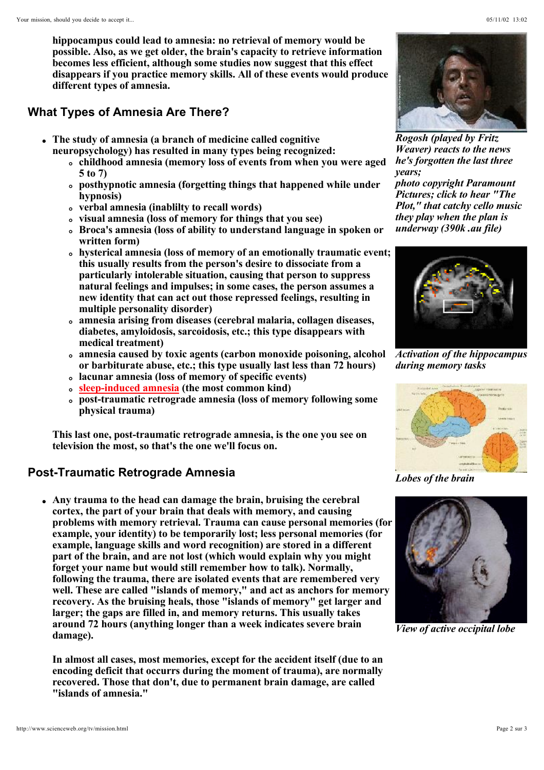**hippocampus could lead to amnesia: no retrieval of memory would be possible. Also, as we get older, the brain's capacity to retrieve information becomes less efficient, although some studies now suggest that this effect disappears if you practice memory skills. All of these events would produce different types of amnesia.**

## **What Types of Amnesia Are There?**

- **The study of amnesia (a branch of medicine called cognitive neuropsychology) has resulted in many types being recognized:** 
	- **childhood amnesia (memory loss of events from when you were aged 5 to 7)**
	- **posthypnotic amnesia (forgetting things that happened while under hypnosis)**
	- **verbal amnesia (inablilty to recall words)**
	- **visual amnesia (loss of memory for things that you see)**
	- **Broca's amnesia (loss of ability to understand language in spoken or written form)**
	- **hysterical amnesia (loss of memory of an emotionally traumatic event; this usually results from the person's desire to dissociate from a particularly intolerable situation, causing that person to suppress natural feelings and impulses; in some cases, the person assumes a new identity that can act out those repressed feelings, resulting in multiple personality disorder)**
	- **amnesia arising from diseases (cerebral malaria, collagen diseases, diabetes, amyloidosis, sarcoidosis, etc.; this type disappears with medical treatment)**
	- **amnesia caused by toxic agents (carbon monoxide poisoning, alcohol or barbiturate abuse, etc.; this type usually last less than 72 hours)**
	- **lacunar amnesia (loss of memory of specific events)**
	- **sleep-induced amnesia (the most common kind)**
	- **post-traumatic retrograde amnesia (loss of memory following some physical trauma)**

**This last one, post-traumatic retrograde amnesia, is the one you see on television the most, so that's the one we'll focus on.**

## **Post-Traumatic Retrograde Amnesia**

**Any trauma to the head can damage the brain, bruising the cerebral cortex, the part of your brain that deals with memory, and causing problems with memory retrieval. Trauma can cause personal memories (for example, your identity) to be temporarily lost; less personal memories (for example, language skills and word recognition) are stored in a different part of the brain, and are not lost (which would explain why you might forget your name but would still remember how to talk). Normally, following the trauma, there are isolated events that are remembered very well. These are called "islands of memory," and act as anchors for memory recovery. As the bruising heals, those "islands of memory" get larger and larger; the gaps are filled in, and memory returns. This usually takes around 72 hours (anything longer than a week indicates severe brain damage).**

**In almost all cases, most memories, except for the accident itself (due to an encoding deficit that occurrs during the moment of trauma), are normally recovered. Those that don't, due to permanent brain damage, are called "islands of amnesia."** 



*Weaver) reacts to the news he's forgotten the last three years; photo copyright Paramount Pictures; click to hear "The Plot," that catchy cello music they play when the plan is underway (390k .au file)*



*Activation of the hippocampus during memory tasks*



*Lobes of the brain*



*View of active occipital lobe*